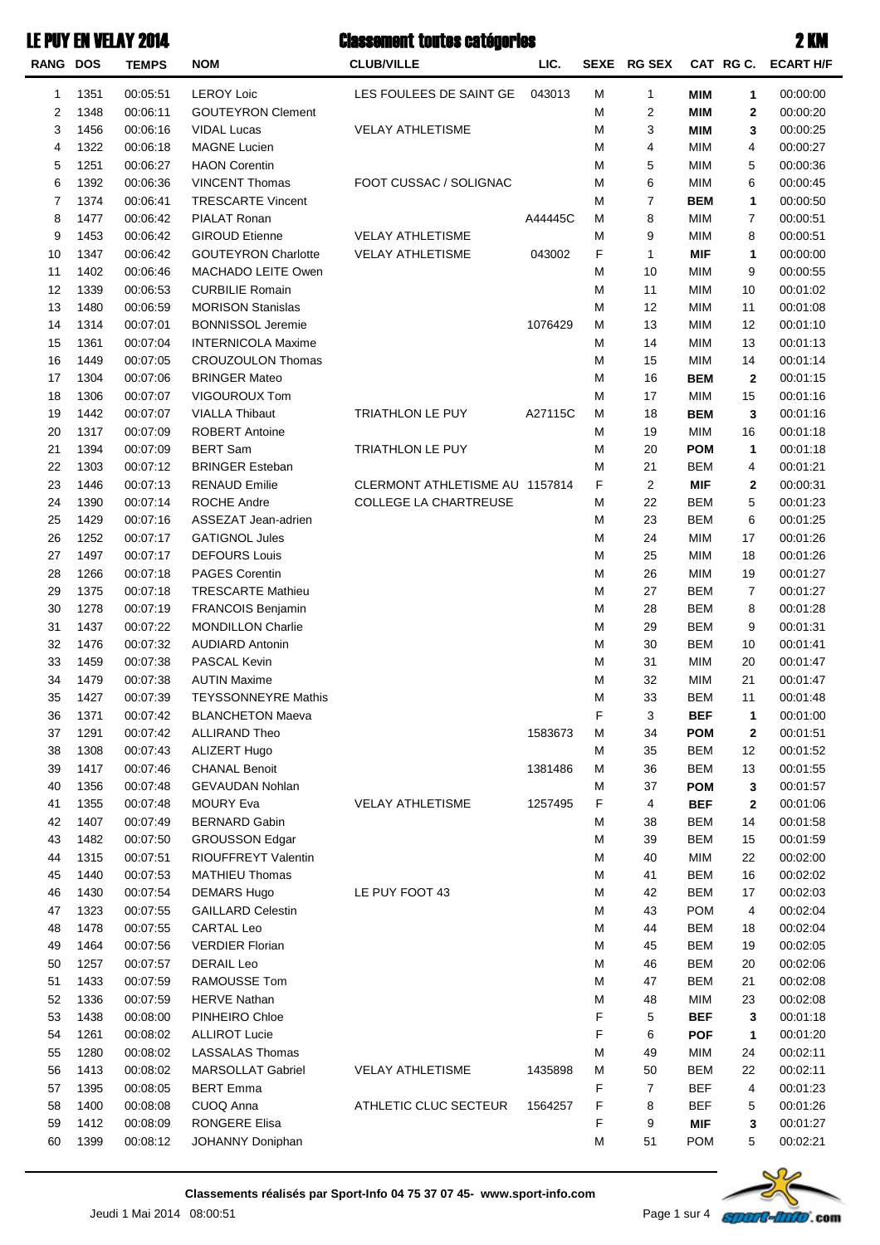| RANG DOS       |              | <b>TEMPS</b>         | <b>NOM</b>                                  | <b>CLUB/VILLE</b>              | LIC.    |        | SEXE RG SEX             |                          |             | CAT RG C. ECART H/F  |
|----------------|--------------|----------------------|---------------------------------------------|--------------------------------|---------|--------|-------------------------|--------------------------|-------------|----------------------|
| 1              | 1351         | 00:05:51             | <b>LEROY Loic</b>                           | LES FOULEES DE SAINT GE        | 043013  | M      | 1                       | <b>MIM</b>               | 1           | 00:00:00             |
| $\overline{c}$ | 1348         | 00:06:11             | <b>GOUTEYRON Clement</b>                    |                                |         | M      | $\overline{\mathbf{c}}$ | <b>MIM</b>               | $\mathbf 2$ | 00:00:20             |
| 3              | 1456         | 00:06:16             | <b>VIDAL Lucas</b>                          | <b>VELAY ATHLETISME</b>        |         | M      | 3                       | <b>MIM</b>               | 3           | 00:00:25             |
| $\overline{4}$ | 1322         | 00:06:18             | <b>MAGNE Lucien</b>                         |                                |         | M      | 4                       | <b>MIM</b>               | 4           | 00:00:27             |
| 5              | 1251         | 00:06:27             | <b>HAON Corentin</b>                        |                                |         | M      | 5                       | <b>MIM</b>               | 5           | 00:00:36             |
| 6              | 1392         | 00:06:36             | <b>VINCENT Thomas</b>                       | FOOT CUSSAC / SOLIGNAC         |         | M      | 6                       | <b>MIM</b>               | 6           | 00:00:45             |
| $\overline{7}$ | 1374         | 00:06:41             | <b>TRESCARTE Vincent</b>                    |                                |         | M      | $\overline{7}$          | <b>BEM</b>               | 1           | 00:00:50             |
| 8              | 1477         | 00:06:42             | PIALAT Ronan                                |                                | A44445C | M      | 8                       | <b>MIM</b>               | 7           | 00:00:51             |
| 9              | 1453         | 00:06:42             | <b>GIROUD Etienne</b>                       | <b>VELAY ATHLETISME</b>        |         | M      | 9                       | <b>MIM</b>               | 8           | 00:00:51             |
| 10             | 1347         | 00:06:42             | <b>GOUTEYRON Charlotte</b>                  | <b>VELAY ATHLETISME</b>        | 043002  | F      | 1                       | <b>MIF</b>               | 1           | 00:00:00             |
| 11             | 1402         | 00:06:46             | MACHADO LEITE Owen                          |                                |         | M      | 10                      | <b>MIM</b>               | 9           | 00:00:55             |
| 12             | 1339         | 00:06:53             | <b>CURBILIE Romain</b>                      |                                |         | M      | 11                      | <b>MIM</b>               | 10          | 00:01:02             |
| 13             | 1480         | 00:06:59             | <b>MORISON Stanislas</b>                    |                                |         | M      | 12                      | <b>MIM</b>               | 11          | 00:01:08             |
| 14             | 1314         | 00:07:01             | <b>BONNISSOL Jeremie</b>                    |                                | 1076429 | M      | 13                      | <b>MIM</b>               | 12          | 00:01:10             |
| 15             | 1361         | 00:07:04             | <b>INTERNICOLA Maxime</b>                   |                                |         | M      | 14                      | <b>MIM</b>               | 13          | 00:01:13             |
| 16             | 1449         | 00:07:05             | <b>CROUZOULON Thomas</b>                    |                                |         | M      | 15                      | <b>MIM</b>               | 14          | 00:01:14             |
| 17             | 1304         | 00:07:06             | <b>BRINGER Mateo</b>                        |                                |         | M      | 16                      | <b>BEM</b>               | $\mathbf 2$ | 00:01:15             |
| 18             | 1306         | 00:07:07             | VIGOUROUX Tom                               |                                |         | M      | 17                      | <b>MIM</b>               | 15          | 00:01:16             |
| 19             | 1442         | 00:07:07             | <b>VIALLA Thibaut</b>                       | TRIATHLON LE PUY               | A27115C | M      | 18                      | <b>BEM</b>               | 3           | 00:01:16             |
| 20             | 1317         | 00:07:09             | <b>ROBERT Antoine</b>                       |                                |         | M      | 19                      | <b>MIM</b>               | 16          | 00:01:18             |
| 21             | 1394         | 00:07:09             | <b>BERT Sam</b>                             | TRIATHLON LE PUY               |         | M      | 20                      | <b>POM</b>               | 1           | 00:01:18             |
| 22             | 1303         | 00:07:12             | <b>BRINGER Esteban</b>                      |                                |         | M      | 21                      | <b>BEM</b>               | 4           | 00:01:21             |
| 23             | 1446         | 00:07:13             | <b>RENAUD Emilie</b>                        | CLERMONT ATHLETISME AU 1157814 |         | F      | $\overline{c}$          | <b>MIF</b>               | $\mathbf 2$ | 00:00:31             |
| 24             | 1390         | 00:07:14             | ROCHE Andre                                 | <b>COLLEGE LA CHARTREUSE</b>   |         | M      | 22                      | <b>BEM</b>               | 5           | 00:01:23             |
| 25             | 1429         | 00:07:16             | ASSEZAT Jean-adrien                         |                                |         | M      | 23                      | <b>BEM</b>               | 6           | 00:01:25             |
| 26             | 1252         | 00:07:17             | <b>GATIGNOL Jules</b>                       |                                |         | M      | 24                      | <b>MIM</b>               | 17          | 00:01:26             |
| 27             | 1497         | 00:07:17             | <b>DEFOURS Louis</b>                        |                                |         | M      | 25                      | <b>MIM</b>               | 18          | 00:01:26             |
| 28             | 1266         | 00:07:18             | PAGES Corentin                              |                                |         | M      | 26                      | <b>MIM</b>               | 19          | 00:01:27             |
| 29             | 1375         | 00:07:18             | <b>TRESCARTE Mathieu</b>                    |                                |         | M      | 27                      | <b>BEM</b>               | 7           | 00:01:27             |
| 30             | 1278         | 00:07:19             | FRANCOIS Benjamin                           |                                |         | M      | 28                      | <b>BEM</b>               | 8           | 00:01:28             |
| 31             | 1437         | 00:07:22             | <b>MONDILLON Charlie</b>                    |                                |         | M      | 29                      | <b>BEM</b>               | 9           | 00:01:31             |
| 32             | 1476         | 00:07:32             | <b>AUDIARD Antonin</b>                      |                                |         | M      | 30                      | <b>BEM</b>               | 10          | 00:01:41             |
| 33             | 1459         | 00:07:38             | PASCAL Kevin                                |                                |         | M      | 31                      | <b>MIM</b>               | 20          | 00:01:47             |
| 34             | 1479         | 00:07:38             | <b>AUTIN Maxime</b>                         |                                |         | M      | 32                      | <b>MIM</b>               | 21          | 00:01:47             |
| 35             | 1427         | 00:07:39             | <b>TEYSSONNEYRE Mathis</b>                  |                                |         | M      | 33                      | <b>BEM</b>               | 11          | 00:01:48             |
| 36             | 1371         | 00:07:42             | <b>BLANCHETON Maeva</b>                     |                                |         | F      | 3                       | <b>BEF</b>               | 1           | 00:01:00             |
| 37             | 1291         | 00:07:42             | <b>ALLIRAND Theo</b>                        |                                | 1583673 | M      | 34                      | <b>POM</b>               | $\mathbf 2$ | 00:01:51             |
| 38             | 1308         | 00:07:43             | ALIZERT Hugo                                |                                |         | M      | 35                      | <b>BEM</b>               | 12          | 00:01:52             |
| 39             | 1417         | 00:07:46             | <b>CHANAL Benoit</b>                        |                                | 1381486 | M      | 36                      | <b>BEM</b>               | 13          | 00:01:55             |
| 40             | 1356         | 00:07:48             | <b>GEVAUDAN Nohlan</b>                      |                                |         | M      | 37                      | <b>POM</b>               | 3           | 00:01:57             |
| 41             | 1355         | 00:07:48             | <b>MOURY Eva</b>                            | <b>VELAY ATHLETISME</b>        | 1257495 | F      | 4                       | BEF                      | $\mathbf 2$ | 00:01:06             |
| 42             | 1407         | 00:07:49             | <b>BERNARD Gabin</b>                        |                                |         | M      | 38                      | <b>BEM</b>               | 14          | 00:01:58             |
| 43             | 1482         | 00:07:50             | <b>GROUSSON Edgar</b>                       |                                |         | M      | 39<br>40                | BEM                      | 15          | 00:01:59<br>00:02:00 |
| 44             | 1315         | 00:07:51             | RIOUFFREYT Valentin                         |                                |         | M      |                         | <b>MIM</b>               | 22          |                      |
| 45<br>46       | 1440<br>1430 | 00:07:53<br>00:07:54 | <b>MATHIEU Thomas</b><br><b>DEMARS Hugo</b> | LE PUY FOOT 43                 |         | M<br>M | 41<br>42                | <b>BEM</b><br><b>BEM</b> | 16          | 00:02:02<br>00:02:03 |
| 47             | 1323         | 00:07:55             | <b>GAILLARD Celestin</b>                    |                                |         | M      | 43                      | <b>POM</b>               | 17<br>4     |                      |
| 48             | 1478         | 00:07:55             | <b>CARTAL Leo</b>                           |                                |         | M      | 44                      | <b>BEM</b>               | 18          | 00:02:04<br>00:02:04 |
| 49             | 1464         | 00:07:56             | <b>VERDIER Florian</b>                      |                                |         | M      | 45                      | <b>BEM</b>               | 19          | 00:02:05             |
| 50             | 1257         | 00:07:57             | <b>DERAIL Leo</b>                           |                                |         | M      | 46                      | <b>BEM</b>               | 20          | 00:02:06             |
| 51             | 1433         | 00:07:59             | <b>RAMOUSSE Tom</b>                         |                                |         | M      | 47                      | <b>BEM</b>               | 21          | 00:02:08             |
| 52             | 1336         | 00:07:59             | <b>HERVE Nathan</b>                         |                                |         | M      | 48                      | <b>MIM</b>               | 23          | 00:02:08             |
| 53             | 1438         | 00:08:00             | PINHEIRO Chloe                              |                                |         | F      | 5                       | BEF                      | 3           | 00:01:18             |
| 54             | 1261         | 00:08:02             | <b>ALLIROT Lucie</b>                        |                                |         | F      | 6                       | <b>POF</b>               | 1           | 00:01:20             |
| 55             | 1280         | 00:08:02             | <b>LASSALAS Thomas</b>                      |                                |         | M      | 49                      | <b>MIM</b>               | 24          | 00:02:11             |
| 56             | 1413         | 00:08:02             | <b>MARSOLLAT Gabriel</b>                    | <b>VELAY ATHLETISME</b>        | 1435898 | M      | 50                      | <b>BEM</b>               | 22          | 00:02:11             |
| 57             | 1395         | 00:08:05             | <b>BERT Emma</b>                            |                                |         | F      | $\overline{7}$          | <b>BEF</b>               | 4           | 00:01:23             |
| 58             | 1400         | 00:08:08             | CUOQ Anna                                   | ATHLETIC CLUC SECTEUR          | 1564257 | F      | 8                       | <b>BEF</b>               | 5           | 00:01:26             |
| 59             | 1412         | 00:08:09             | <b>RONGERE Elisa</b>                        |                                |         | F      | 9                       | MIF                      | 3           | 00:01:27             |
| 60             | 1399         | 00:08:12             | JOHANNY Doniphan                            |                                |         | M      | 51                      | <b>POM</b>               | 5           | 00:02:21             |

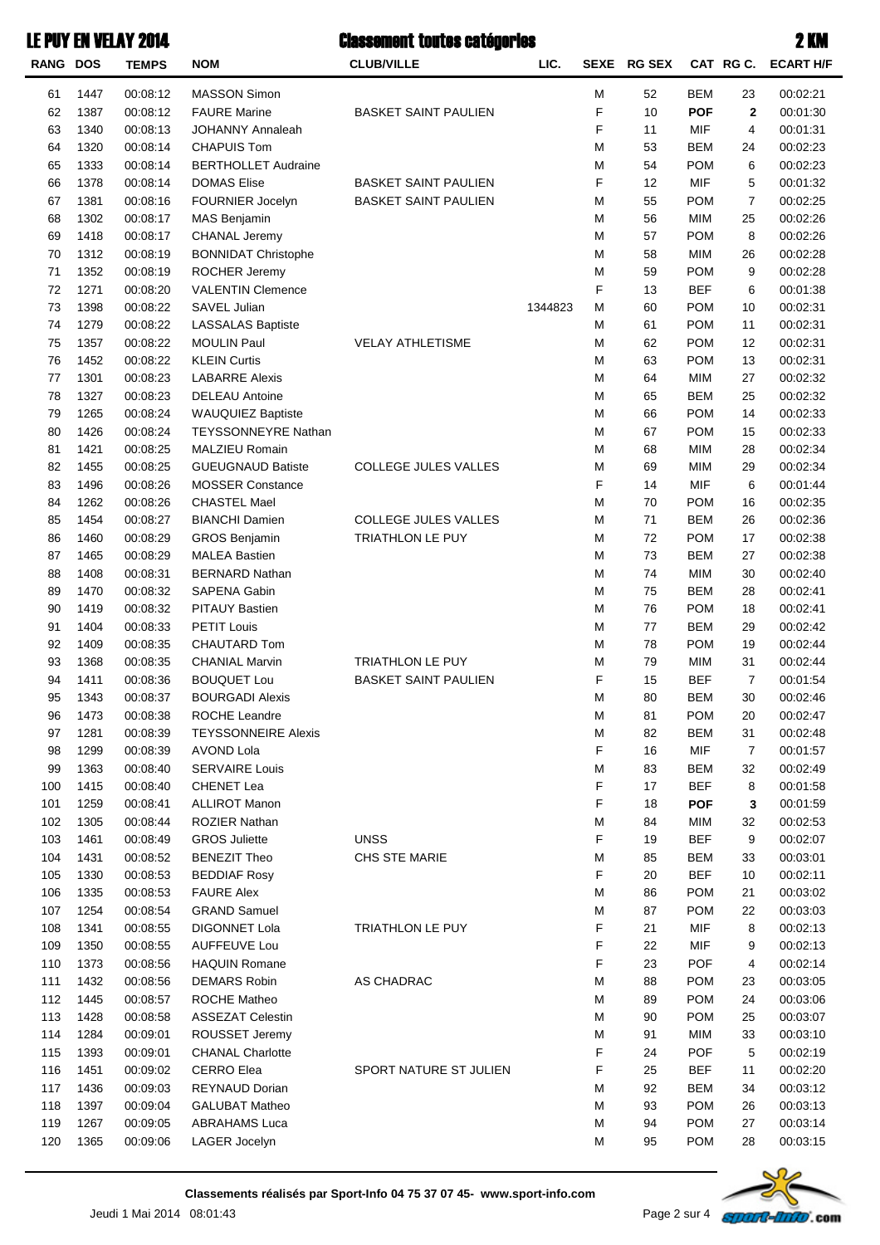| <b>RANG DOS</b> |      | <b>TEMPS</b> | <b>NOM</b>                 | <b>CLUB/VILLE</b>           | LIC.    |   | SEXE RG SEX |            | CAT RG C.    | <b>ECART H/F</b> |
|-----------------|------|--------------|----------------------------|-----------------------------|---------|---|-------------|------------|--------------|------------------|
| 61              | 1447 | 00:08:12     | <b>MASSON Simon</b>        |                             |         | М | 52          | <b>BEM</b> | 23           | 00:02:21         |
| 62              | 1387 | 00:08:12     | <b>FAURE Marine</b>        | <b>BASKET SAINT PAULIEN</b> |         | F | 10          | <b>POF</b> | $\mathbf{2}$ | 00:01:30         |
| 63              | 1340 | 00:08:13     | <b>JOHANNY Annaleah</b>    |                             |         | F | 11          | <b>MIF</b> | 4            | 00:01:31         |
| 64              | 1320 | 00:08:14     | <b>CHAPUIS Tom</b>         |                             |         | М | 53          | <b>BEM</b> | 24           | 00:02:23         |
| 65              | 1333 | 00:08:14     | <b>BERTHOLLET Audraine</b> |                             |         | М | 54          | <b>POM</b> | 6            | 00:02:23         |
| 66              | 1378 | 00:08:14     | <b>DOMAS Elise</b>         | <b>BASKET SAINT PAULIEN</b> |         | F | 12          | <b>MIF</b> | 5            | 00:01:32         |
| 67              | 1381 | 00:08:16     | FOURNIER Jocelyn           | <b>BASKET SAINT PAULIEN</b> |         | М | 55          | <b>POM</b> | 7            | 00:02:25         |
| 68              | 1302 | 00:08:17     | MAS Benjamin               |                             |         | М | 56          | <b>MIM</b> | 25           | 00:02:26         |
| 69              | 1418 | 00:08:17     | <b>CHANAL Jeremy</b>       |                             |         | M | 57          | <b>POM</b> | 8            | 00:02:26         |
| 70              | 1312 | 00:08:19     | <b>BONNIDAT Christophe</b> |                             |         | M | 58          | <b>MIM</b> | 26           | 00:02:28         |
| 71              | 1352 | 00:08:19     | ROCHER Jeremy              |                             |         | M | 59          | <b>POM</b> | 9            | 00:02:28         |
| 72              | 1271 | 00:08:20     | <b>VALENTIN Clemence</b>   |                             |         | F | 13          | <b>BEF</b> | 6            | 00:01:38         |
| 73              | 1398 | 00:08:22     | SAVEL Julian               |                             | 1344823 | М | 60          | <b>POM</b> | 10           | 00:02:31         |
| 74              | 1279 | 00:08:22     | <b>LASSALAS Baptiste</b>   |                             |         | М | 61          | <b>POM</b> | 11           | 00:02:31         |
| 75              | 1357 | 00:08:22     | <b>MOULIN Paul</b>         | <b>VELAY ATHLETISME</b>     |         | М | 62          | <b>POM</b> | 12           | 00:02:31         |
| 76              | 1452 | 00:08:22     | <b>KLEIN Curtis</b>        |                             |         | M | 63          | <b>POM</b> | 13           | 00:02:31         |
| 77              | 1301 | 00:08:23     | <b>LABARRE Alexis</b>      |                             |         | M | 64          | <b>MIM</b> | 27           | 00:02:32         |
| 78              | 1327 | 00:08:23     | <b>DELEAU Antoine</b>      |                             |         | M | 65          | <b>BEM</b> | 25           | 00:02:32         |
| 79              | 1265 | 00:08:24     | <b>WAUQUIEZ Baptiste</b>   |                             |         | M | 66          | <b>POM</b> | 14           | 00:02:33         |
| 80              | 1426 | 00:08:24     | <b>TEYSSONNEYRE Nathan</b> |                             |         | M | 67          | <b>POM</b> | 15           | 00:02:33         |
| 81              | 1421 | 00:08:25     | MALZIEU Romain             |                             |         | M | 68          | <b>MIM</b> | 28           | 00:02:34         |
| 82              | 1455 | 00:08:25     | <b>GUEUGNAUD Batiste</b>   | <b>COLLEGE JULES VALLES</b> |         | M | 69          | <b>MIM</b> | 29           | 00:02:34         |
| 83              | 1496 | 00:08:26     | <b>MOSSER Constance</b>    |                             |         | F | 14          | <b>MIF</b> | 6            | 00:01:44         |
| 84              | 1262 | 00:08:26     | <b>CHASTEL Mael</b>        |                             |         | М | 70          | <b>POM</b> | 16           | 00:02:35         |
| 85              | 1454 | 00:08:27     | <b>BIANCHI Damien</b>      | COLLEGE JULES VALLES        |         | M | 71          | <b>BEM</b> | 26           | 00:02:36         |
| 86              | 1460 | 00:08:29     | <b>GROS Benjamin</b>       | <b>TRIATHLON LE PUY</b>     |         | M | 72          | <b>POM</b> | 17           | 00:02:38         |
| 87              | 1465 | 00:08:29     | <b>MALEA Bastien</b>       |                             |         | M | 73          | <b>BEM</b> | 27           | 00:02:38         |
| 88              | 1408 | 00:08:31     | <b>BERNARD Nathan</b>      |                             |         | M | 74          | <b>MIM</b> | 30           | 00:02:40         |
| 89              | 1470 | 00:08:32     | SAPENA Gabin               |                             |         | M | 75          | <b>BEM</b> | 28           | 00:02:41         |
| 90              | 1419 | 00:08:32     | <b>PITAUY Bastien</b>      |                             |         | M | 76          | <b>POM</b> | 18           | 00:02:41         |
| 91              | 1404 | 00:08:33     | <b>PETIT Louis</b>         |                             |         | M | 77          | <b>BEM</b> | 29           | 00:02:42         |
| 92              | 1409 | 00:08:35     | CHAUTARD Tom               |                             |         | М | 78          | <b>POM</b> | 19           | 00:02:44         |
| 93              | 1368 | 00:08:35     | <b>CHANIAL Marvin</b>      | <b>TRIATHLON LE PUY</b>     |         | M | 79          | <b>MIM</b> | 31           | 00:02:44         |
| 94              | 1411 | 00:08:36     | <b>BOUQUET Lou</b>         | <b>BASKET SAINT PAULIEN</b> |         | F | 15          | <b>BEF</b> | 7            | 00:01:54         |
| 95              | 1343 | 00:08:37     | <b>BOURGADI Alexis</b>     |                             |         | М | 80          | <b>BEM</b> | 30           | 00:02:46         |
| 96              | 1473 | 00:08:38     | ROCHE Leandre              |                             |         | М | 81          | POM        | 20           | 00:02:47         |
| 97              | 1281 | 00:08:39     | <b>TEYSSONNEIRE Alexis</b> |                             |         | M | 82          | BEM        | 31           | 00:02:48         |
| 98              | 1299 | 00:08:39     | AVOND Lola                 |                             |         | F | 16          | MIF        | 7            | 00:01:57         |
| 99              | 1363 | 00:08:40     | <b>SERVAIRE Louis</b>      |                             |         | M | 83          | BEM        | 32           | 00:02:49         |
| 100             | 1415 | 00:08:40     | <b>CHENET Lea</b>          |                             |         | F | 17          | <b>BEF</b> | 8            | 00:01:58         |
| 101             | 1259 | 00:08:41     | <b>ALLIROT Manon</b>       |                             |         | F | 18          | <b>POF</b> | 3            | 00:01:59         |
| 102             | 1305 | 00:08:44     | <b>ROZIER Nathan</b>       |                             |         | М | 84          | MIM        | 32           | 00:02:53         |
| 103             | 1461 | 00:08:49     | <b>GROS Juliette</b>       | <b>UNSS</b>                 |         | F | 19          | <b>BEF</b> | 9            | 00:02:07         |
| 104             | 1431 | 00:08:52     | <b>BENEZIT Theo</b>        | CHS STE MARIE               |         | М | 85          | BEM        | 33           | 00:03:01         |
| 105             | 1330 | 00:08:53     | <b>BEDDIAF Rosy</b>        |                             |         | F | 20          | <b>BEF</b> | 10           | 00:02:11         |
| 106             | 1335 | 00:08:53     | <b>FAURE Alex</b>          |                             |         | М | 86          | <b>POM</b> | 21           | 00:03:02         |
| 107             | 1254 | 00:08:54     | <b>GRAND Samuel</b>        |                             |         | М | 87          | <b>POM</b> | 22           | 00:03:03         |
| 108             | 1341 | 00:08:55     | DIGONNET Lola              | <b>TRIATHLON LE PUY</b>     |         | F | 21          | MIF        | 8            | 00:02:13         |
| 109             | 1350 | 00:08:55     | <b>AUFFEUVE Lou</b>        |                             |         | F | 22          | MIF        | 9            | 00:02:13         |
| 110             | 1373 | 00:08:56     | <b>HAQUIN Romane</b>       |                             |         | F | 23          | <b>POF</b> | 4            | 00:02:14         |
| 111             | 1432 | 00:08:56     | <b>DEMARS Robin</b>        | AS CHADRAC                  |         | М | 88          | <b>POM</b> | 23           | 00:03:05         |
| 112             | 1445 | 00:08:57     | ROCHE Matheo               |                             |         | М | 89          | <b>POM</b> | 24           | 00:03:06         |
| 113             | 1428 | 00:08:58     | <b>ASSEZAT Celestin</b>    |                             |         | М | 90          | <b>POM</b> | 25           | 00:03:07         |
| 114             | 1284 | 00:09:01     | ROUSSET Jeremy             |                             |         | М | 91          | <b>MIM</b> | 33           | 00:03:10         |
| 115             | 1393 | 00:09:01     | <b>CHANAL Charlotte</b>    |                             |         | F | 24          | <b>POF</b> | 5            | 00:02:19         |
| 116             | 1451 | 00:09:02     | <b>CERRO Elea</b>          | SPORT NATURE ST JULIEN      |         | F | 25          | <b>BEF</b> | 11           | 00:02:20         |
| 117             | 1436 | 00:09:03     | REYNAUD Dorian             |                             |         | М | 92          | <b>BEM</b> | 34           | 00:03:12         |
| 118             | 1397 | 00:09:04     | <b>GALUBAT Matheo</b>      |                             |         | М | 93          | <b>POM</b> | 26           | 00:03:13         |
| 119             | 1267 | 00:09:05     | <b>ABRAHAMS Luca</b>       |                             |         | М | 94          | <b>POM</b> | 27           | 00:03:14         |
| 120             | 1365 | 00:09:06     | LAGER Jocelyn              |                             |         | М | 95          | <b>POM</b> | 28           | 00:03:15         |
|                 |      |              |                            |                             |         |   |             |            |              |                  |

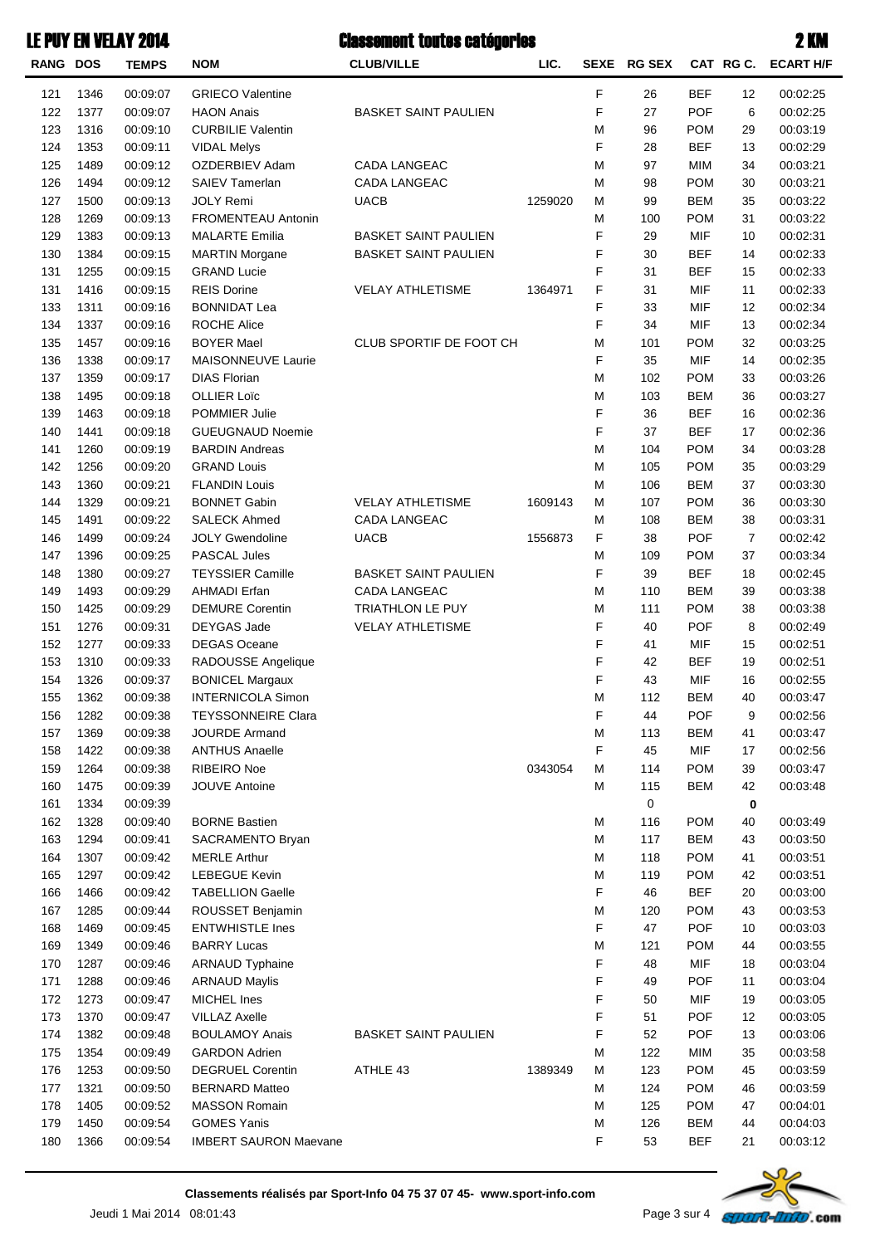| <b>RANG DOS</b> |              | <b>TEMPS</b>         | <b>NOM</b>                                    | <b>CLUB/VILLE</b>           | LIC.    | <b>SEXE</b> | <b>RG SEX</b> |                          | CAT RG C. | <b>ECART H/F</b>     |
|-----------------|--------------|----------------------|-----------------------------------------------|-----------------------------|---------|-------------|---------------|--------------------------|-----------|----------------------|
| 121             | 1346         | 00:09:07             | <b>GRIECO Valentine</b>                       |                             |         | F           | 26            | <b>BEF</b>               | 12        | 00:02:25             |
| 122             | 1377         | 00:09:07             | <b>HAON Anais</b>                             | <b>BASKET SAINT PAULIEN</b> |         | F           | 27            | <b>POF</b>               | 6         | 00:02:25             |
| 123             | 1316         | 00:09:10             | <b>CURBILIE Valentin</b>                      |                             |         | M           | 96            | <b>POM</b>               | 29        | 00:03:19             |
| 124             | 1353         | 00:09:11             | <b>VIDAL Melys</b>                            |                             |         | F           | 28            | <b>BEF</b>               | 13        | 00:02:29             |
| 125             | 1489         | 00:09:12             | OZDERBIEV Adam                                | CADA LANGEAC                |         | M           | 97            | MIM                      | 34        | 00:03:21             |
| 126             | 1494         | 00:09:12             | <b>SAIEV Tamerlan</b>                         | <b>CADA LANGEAC</b>         |         | M           | 98            | <b>POM</b>               | 30        | 00:03:21             |
| 127             | 1500         | 00:09:13             | <b>JOLY Remi</b>                              | <b>UACB</b>                 | 1259020 | M           | 99            | <b>BEM</b>               | 35        | 00:03:22             |
| 128             | 1269         | 00:09:13             | <b>FROMENTEAU Antonin</b>                     |                             |         | M           | 100           | <b>POM</b>               | 31        | 00:03:22             |
| 129             | 1383         | 00:09:13             | <b>MALARTE Emilia</b>                         | <b>BASKET SAINT PAULIEN</b> |         | F           | 29            | <b>MIF</b>               | 10        | 00:02:31             |
| 130             | 1384         | 00:09:15             | <b>MARTIN Morgane</b>                         | <b>BASKET SAINT PAULIEN</b> |         | F           | 30            | <b>BEF</b>               | 14        | 00:02:33             |
| 131             | 1255         | 00:09:15             | <b>GRAND Lucie</b>                            |                             |         | F           | 31            | <b>BEF</b>               | 15        | 00:02:33             |
| 131             | 1416         | 00:09:15             | <b>REIS Dorine</b>                            | <b>VELAY ATHLETISME</b>     | 1364971 | F           | 31            | MIF                      | 11        | 00:02:33             |
| 133             | 1311         | 00:09:16             | <b>BONNIDAT Lea</b>                           |                             |         | F           | 33            | <b>MIF</b>               | 12        | 00:02:34             |
| 134             | 1337         | 00:09:16             | <b>ROCHE Alice</b>                            |                             |         | F           | 34            | <b>MIF</b>               | 13        | 00:02:34             |
| 135             | 1457         | 00:09:16             | <b>BOYER Mael</b>                             | CLUB SPORTIF DE FOOT CH     |         | M           | 101           | <b>POM</b>               | 32        | 00:03:25             |
| 136             | 1338         | 00:09:17             | MAISONNEUVE Laurie                            |                             |         | F           | 35            | <b>MIF</b>               | 14        | 00:02:35             |
| 137             | 1359         | 00:09:17             | <b>DIAS Florian</b>                           |                             |         | М           | 102           | <b>POM</b>               | 33        | 00:03:26             |
| 138             | 1495         | 00:09:18             | <b>OLLIER Loïc</b>                            |                             |         | M           | 103           | <b>BEM</b>               | 36        | 00:03:27             |
| 139             | 1463         | 00:09:18             | POMMIER Julie                                 |                             |         | F           | 36            | <b>BEF</b>               | 16        | 00:02:36             |
| 140             | 1441         | 00:09:18             | <b>GUEUGNAUD Noemie</b>                       |                             |         | F           | 37            | <b>BEF</b>               | 17        | 00:02:36             |
| 141             | 1260         | 00:09:19             | <b>BARDIN Andreas</b>                         |                             |         | М           | 104           | <b>POM</b>               | 34        | 00:03:28             |
| 142             | 1256         | 00:09:20             | <b>GRAND Louis</b>                            |                             |         | M           | 105           | <b>POM</b>               | 35        | 00:03:29             |
| 143             | 1360         | 00:09:21             | <b>FLANDIN Louis</b>                          |                             |         | M           | 106           | <b>BEM</b>               | 37        | 00:03:30             |
| 144             | 1329         | 00:09:21             | <b>BONNET Gabin</b>                           | <b>VELAY ATHLETISME</b>     | 1609143 | M           | 107           | <b>POM</b>               | 36        | 00:03:30             |
| 145             | 1491         | 00:09:22             | <b>SALECK Ahmed</b>                           | CADA LANGEAC                |         | M           | 108           | <b>BEM</b>               | 38        | 00:03:31             |
| 146             | 1499         | 00:09:24             | <b>JOLY Gwendoline</b>                        | <b>UACB</b>                 | 1556873 | F           | 38            | <b>POF</b>               | 7         | 00:02:42             |
| 147             | 1396         | 00:09:25             | <b>PASCAL Jules</b>                           |                             |         | M           | 109           | <b>POM</b>               | 37        | 00:03:34             |
| 148             | 1380         | 00:09:27             | <b>TEYSSIER Camille</b>                       | <b>BASKET SAINT PAULIEN</b> |         | F           | 39            | <b>BEF</b>               | 18        | 00:02:45             |
| 149             | 1493         | 00:09:29             | <b>AHMADI Erfan</b>                           | <b>CADA LANGEAC</b>         |         | M           | 110           | <b>BEM</b>               | 39        | 00:03:38             |
| 150             | 1425         | 00:09:29             | <b>DEMURE Corentin</b>                        | TRIATHLON LE PUY            |         | M           | 111           | <b>POM</b>               | 38        | 00:03:38             |
| 151             | 1276         | 00:09:31             | DEYGAS Jade                                   | <b>VELAY ATHLETISME</b>     |         | F           | 40            | <b>POF</b>               | 8         | 00:02:49             |
| 152             | 1277         | 00:09:33             | <b>DEGAS Oceane</b>                           |                             |         | F           | 41            | <b>MIF</b>               | 15        | 00:02:51             |
| 153             | 1310         | 00:09:33             | RADOUSSE Angelique                            |                             |         | F           | 42            | BEF                      | 19        | 00:02:51             |
| 154             | 1326         | 00:09:37             | <b>BONICEL Margaux</b>                        |                             |         | F           | 43            | <b>MIF</b>               | 16        | 00:02:55             |
| 155             | 1362         | 00:09:38             | <b>INTERNICOLA Simon</b>                      |                             |         | M           | 112           | <b>BEM</b>               | 40        | 00:03:47             |
| 156             | 1282         | 00:09:38             | <b>TEYSSONNEIRE Clara</b>                     |                             |         | F           | 44            | POF                      | 9         | 00:02:56             |
| 157             | 1369         | 00:09:38             | <b>JOURDE Armand</b><br><b>ANTHUS Anaelle</b> |                             |         | M<br>F      | 113           | <b>BEM</b>               | 41        | 00:03:47             |
| 158<br>159      | 1422<br>1264 | 00:09:38<br>00:09:38 | RIBEIRO Noe                                   |                             | 0343054 |             | 45<br>114     | <b>MIF</b><br><b>POM</b> | 17        | 00:02:56             |
| 160             | 1475         | 00:09:39             | <b>JOUVE Antoine</b>                          |                             |         | M<br>М      | 115           | <b>BEM</b>               | 39<br>42  | 00:03:47<br>00:03:48 |
| 161             | 1334         | 00:09:39             |                                               |                             |         |             | 0             |                          | 0         |                      |
| 162             | 1328         | 00:09:40             | <b>BORNE Bastien</b>                          |                             |         | M           | 116           | <b>POM</b>               | 40        | 00:03:49             |
| 163             | 1294         | 00:09:41             | SACRAMENTO Bryan                              |                             |         | M           | 117           | <b>BEM</b>               | 43        | 00:03:50             |
| 164             | 1307         | 00:09:42             | <b>MERLE Arthur</b>                           |                             |         | M           | 118           | <b>POM</b>               | 41        | 00:03:51             |
| 165             | 1297         | 00:09:42             | <b>LEBEGUE Kevin</b>                          |                             |         | M           | 119           | <b>POM</b>               | 42        | 00:03:51             |
| 166             | 1466         | 00:09:42             | <b>TABELLION Gaelle</b>                       |                             |         | F           | 46            | <b>BEF</b>               | 20        | 00:03:00             |
| 167             | 1285         | 00:09:44             | ROUSSET Benjamin                              |                             |         | M           | 120           | <b>POM</b>               | 43        | 00:03:53             |
| 168             | 1469         | 00:09:45             | <b>ENTWHISTLE Ines</b>                        |                             |         | F           | 47            | <b>POF</b>               | 10        | 00:03:03             |
| 169             | 1349         | 00:09:46             | <b>BARRY Lucas</b>                            |                             |         | M           | 121           | <b>POM</b>               | 44        | 00:03:55             |
| 170             | 1287         | 00:09:46             | <b>ARNAUD Typhaine</b>                        |                             |         | F           | 48            | MIF                      | 18        | 00:03:04             |
| 171             | 1288         | 00:09:46             | <b>ARNAUD Maylis</b>                          |                             |         | F           | 49            | <b>POF</b>               | 11        | 00:03:04             |
| 172             | 1273         | 00:09:47             | MICHEL Ines                                   |                             |         | F           | 50            | MIF                      | 19        | 00:03:05             |
| 173             | 1370         | 00:09:47             | <b>VILLAZ Axelle</b>                          |                             |         | F           | 51            | <b>POF</b>               | 12        | 00:03:05             |
| 174             | 1382         | 00:09:48             | <b>BOULAMOY Anais</b>                         | <b>BASKET SAINT PAULIEN</b> |         | F           | 52            | <b>POF</b>               | 13        | 00:03:06             |
| 175             | 1354         | 00:09:49             | <b>GARDON Adrien</b>                          |                             |         | М           | 122           | <b>MIM</b>               | 35        | 00:03:58             |
| 176             | 1253         | 00:09:50             | <b>DEGRUEL Corentin</b>                       | ATHLE 43                    | 1389349 | M           | 123           | <b>POM</b>               | 45        | 00:03:59             |
| 177             | 1321         | 00:09:50             | <b>BERNARD Matteo</b>                         |                             |         | M           | 124           | <b>POM</b>               | 46        | 00:03:59             |
| 178             | 1405         | 00:09:52             | <b>MASSON Romain</b>                          |                             |         | M           | 125           | <b>POM</b>               | 47        | 00:04:01             |
| 179             | 1450         | 00:09:54             | <b>GOMES Yanis</b>                            |                             |         | M           | 126           | <b>BEM</b>               | 44        | 00:04:03             |
| 180             | 1366         | 00:09:54             | <b>IMBERT SAURON Maevane</b>                  |                             |         | F           | 53            | <b>BEF</b>               | 21        | 00:03:12             |